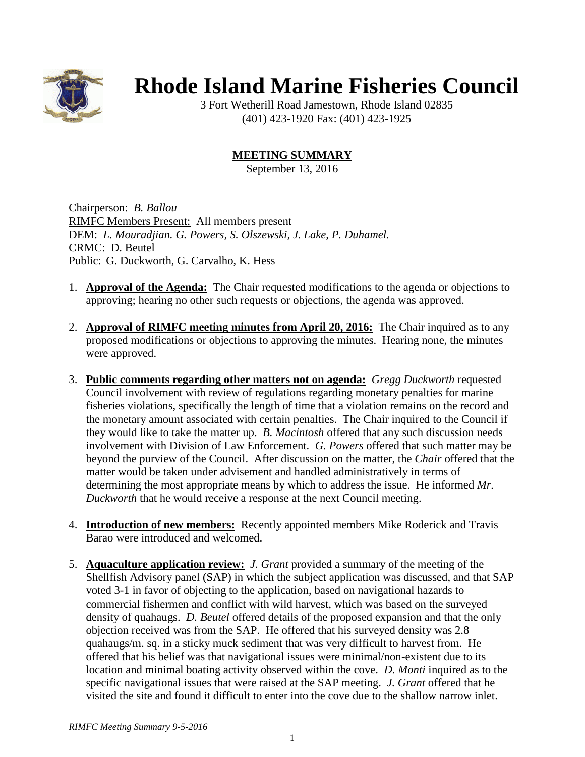

## **Rhode Island Marine Fisheries Council**

3 Fort Wetherill Road Jamestown, Rhode Island 02835 (401) 423-1920 Fax: (401) 423-1925

## **MEETING SUMMARY**

September 13, 2016

Chairperson: *B. Ballou* RIMFC Members Present: All members present DEM: *L. Mouradjian. G. Powers, S. Olszewski, J. Lake, P. Duhamel.* CRMC: D. Beutel Public: G. Duckworth, G. Carvalho, K. Hess

- 1. **Approval of the Agenda:** The Chair requested modifications to the agenda or objections to approving; hearing no other such requests or objections, the agenda was approved.
- 2. **Approval of RIMFC meeting minutes from April 20, 2016:** The Chair inquired as to any proposed modifications or objections to approving the minutes. Hearing none, the minutes were approved.
- 3. **Public comments regarding other matters not on agenda:** *Gregg Duckworth* requested Council involvement with review of regulations regarding monetary penalties for marine fisheries violations, specifically the length of time that a violation remains on the record and the monetary amount associated with certain penalties. The Chair inquired to the Council if they would like to take the matter up. *B. Macintosh* offered that any such discussion needs involvement with Division of Law Enforcement. *G. Powers* offered that such matter may be beyond the purview of the Council. After discussion on the matter, the *Chair* offered that the matter would be taken under advisement and handled administratively in terms of determining the most appropriate means by which to address the issue. He informed *Mr. Duckworth* that he would receive a response at the next Council meeting.
- 4. **Introduction of new members:** Recently appointed members Mike Roderick and Travis Barao were introduced and welcomed.
- 5. **Aquaculture application review:** *J. Grant* provided a summary of the meeting of the Shellfish Advisory panel (SAP) in which the subject application was discussed, and that SAP voted 3-1 in favor of objecting to the application, based on navigational hazards to commercial fishermen and conflict with wild harvest, which was based on the surveyed density of quahaugs. *D. Beutel* offered details of the proposed expansion and that the only objection received was from the SAP. He offered that his surveyed density was 2.8 quahaugs/m. sq. in a sticky muck sediment that was very difficult to harvest from. He offered that his belief was that navigational issues were minimal/non-existent due to its location and minimal boating activity observed within the cove. *D. Monti* inquired as to the specific navigational issues that were raised at the SAP meeting. *J. Grant* offered that he visited the site and found it difficult to enter into the cove due to the shallow narrow inlet.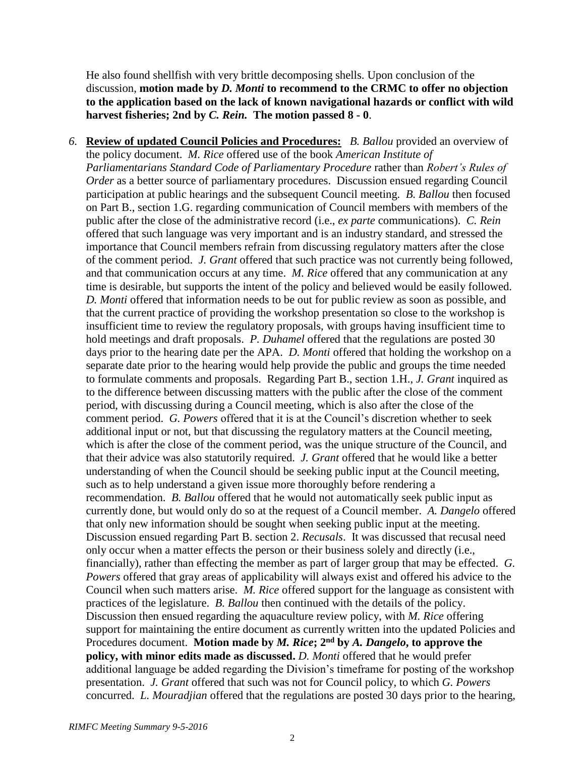He also found shellfish with very brittle decomposing shells. Upon conclusion of the discussion, **motion made by** *D. Monti* **to recommend to the CRMC to offer no objection to the application based on the lack of known navigational hazards or conflict with wild harvest fisheries; 2nd by** *C. Rein.* **The motion passed 8 - 0**.

*6.* **Review of updated Council Policies and Procedures:** *B. Ballou* provided an overview of the policy document. *M. Rice* offered use of the book *American Institute of Parliamentarians Standard Code of Parliamentary Procedure* rather than *Robert's Rules of Order* as a better source of parliamentary procedures. Discussion ensued regarding Council participation at public hearings and the subsequent Council meeting. *B. Ballou* then focused on Part B., section 1.G. regarding communication of Council members with members of the public after the close of the administrative record (i.e., *ex parte* communications). *C. Rein* offered that such language was very important and is an industry standard, and stressed the importance that Council members refrain from discussing regulatory matters after the close of the comment period. *J. Grant* offered that such practice was not currently being followed, and that communication occurs at any time. *M. Rice* offered that any communication at any time is desirable, but supports the intent of the policy and believed would be easily followed. *D. Monti* offered that information needs to be out for public review as soon as possible, and that the current practice of providing the workshop presentation so close to the workshop is insufficient time to review the regulatory proposals, with groups having insufficient time to hold meetings and draft proposals. *P. Duhamel* offered that the regulations are posted 30 days prior to the hearing date per the APA. *D. Monti* offered that holding the workshop on a separate date prior to the hearing would help provide the public and groups the time needed to formulate comments and proposals. Regarding Part B., section 1.H., *J. Grant* inquired as to the difference between discussing matters with the public after the close of the comment period, with discussing during a Council meeting, which is also after the close of the comment period. *G. Powers* offered that it is at the Council's discretion whether to seek additional input or not, but that discussing the regulatory matters at the Council meeting, which is after the close of the comment period, was the unique structure of the Council, and that their advice was also statutorily required. *J. Grant* offered that he would like a better understanding of when the Council should be seeking public input at the Council meeting, such as to help understand a given issue more thoroughly before rendering a recommendation. *B. Ballou* offered that he would not automatically seek public input as currently done, but would only do so at the request of a Council member. *A. Dangelo* offered that only new information should be sought when seeking public input at the meeting. Discussion ensued regarding Part B. section 2. *Recusals*. It was discussed that recusal need only occur when a matter effects the person or their business solely and directly (i.e., financially), rather than effecting the member as part of larger group that may be effected. *G. Powers* offered that gray areas of applicability will always exist and offered his advice to the Council when such matters arise. *M. Rice* offered support for the language as consistent with practices of the legislature. *B. Ballou* then continued with the details of the policy. Discussion then ensued regarding the aquaculture review policy, with *M. Rice* offering support for maintaining the entire document as currently written into the updated Policies and Procedures document. **Motion made by** *M. Rice***; 2nd by** *A. Dangelo***, to approve the policy, with minor edits made as discussed.** *D. Monti* offered that he would prefer additional language be added regarding the Division's timeframe for posting of the workshop presentation. *J. Grant* offered that such was not for Council policy, to which *G. Powers* concurred. *L. Mouradjian* offered that the regulations are posted 30 days prior to the hearing,